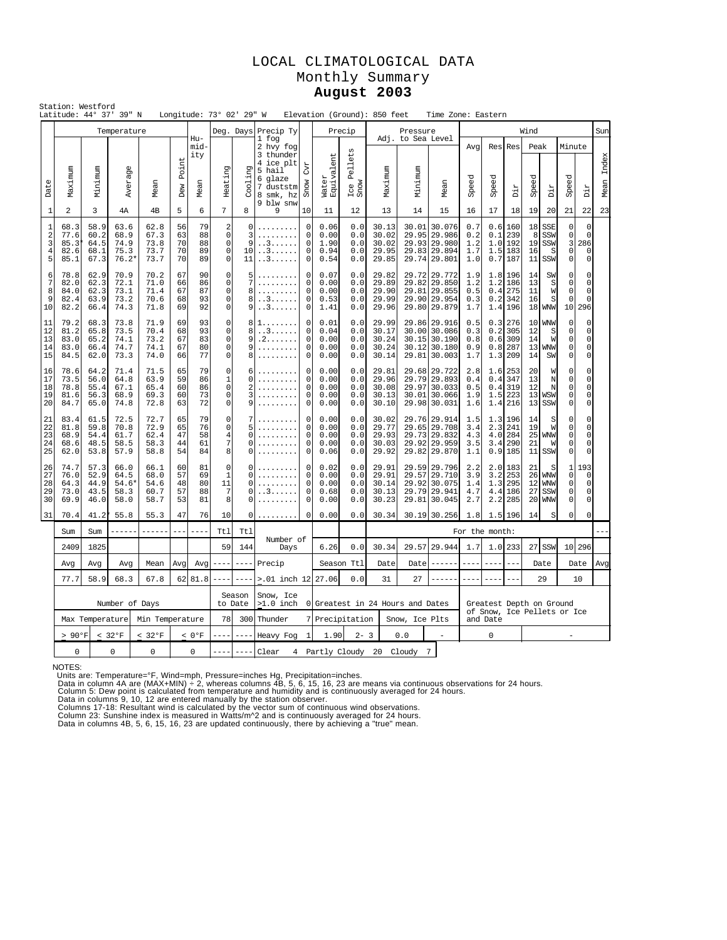## LOCAL CLIMATOLOGICAL DATA Monthly Summary **August 2003**

|                                       | Station: Westford                                        |                                                              | Latitude: 44° 37' 39" N                 |                                      |                            |                            | Longitude: 73° 02' 29" W                                                    |                                         |                                                                                                          |                                                                                           |                                      |                                 | Elevation (Ground): 850 feet              |                                  | Time Zone: Eastern                                                           |                                 |                                         |                                           |                                |                                                    |                                                               |                                                                                 |               |
|---------------------------------------|----------------------------------------------------------|--------------------------------------------------------------|-----------------------------------------|--------------------------------------|----------------------------|----------------------------|-----------------------------------------------------------------------------|-----------------------------------------|----------------------------------------------------------------------------------------------------------|-------------------------------------------------------------------------------------------|--------------------------------------|---------------------------------|-------------------------------------------|----------------------------------|------------------------------------------------------------------------------|---------------------------------|-----------------------------------------|-------------------------------------------|--------------------------------|----------------------------------------------------|---------------------------------------------------------------|---------------------------------------------------------------------------------|---------------|
|                                       |                                                          |                                                              | Temperature                             |                                      |                            |                            |                                                                             |                                         | Deg. Days Precip Ty                                                                                      |                                                                                           |                                      | Precip                          |                                           | Pressure                         |                                                                              |                                 |                                         |                                           | Wind                           |                                                    |                                                               |                                                                                 | Sun           |
| Date                                  | Maximum                                                  | Minimum                                                      | Average                                 | Mean                                 | Point<br>Dew               | Hu-<br>mid-<br>ity<br>Mean | Heating                                                                     | Cooling                                 | 1 fog<br>2 hvy fog<br>3 thunder<br>4 ice plt<br>5 hail<br>6 glaze<br>7 duststm<br>8 smk, hz<br>9 blw snw | <b>CVL</b><br>Snow                                                                        | ent<br>Water<br>Equivale             | ets<br>Pell<br>Ice I<br>Snow    | Maximum                                   | Adj. to Sea Level<br>Minimum     | Mean                                                                         | Avq<br>Speed                    | Speed                                   | Res Res<br>Dir                            | Peak<br>Speed                  | riq                                                | Minute<br>Speed                                               | Dir                                                                             | Index<br>Mean |
| $\mathbf{1}$                          | $\overline{a}$                                           | 3                                                            | 4А                                      | 4 <sub>B</sub>                       | 5                          | 6                          | 7                                                                           | 8                                       | 9                                                                                                        | 10                                                                                        | 11                                   | 12                              | 13                                        | 14                               | 15                                                                           | 16                              | 17                                      | 18                                        | 19                             | 20                                                 | 21                                                            | 22                                                                              | 23            |
| 1<br>$\overline{\mathbf{c}}$<br>3     | 68.3<br>77.6<br>85.3<br>4<br>82.6<br>5<br>85.1           | 58.9<br>60.2<br>64.5<br>68.1<br>67.3                         | 63.6<br>68.9<br>74.9<br>75.3<br>$76.2*$ | 62.8<br>67.3<br>73.8<br>73.7<br>73.7 | 56<br>63<br>70<br>70<br>70 | 79<br>88<br>88<br>89<br>89 | $\sqrt{2}$<br>$\mathsf 0$<br>$\mathbf 0$<br>0<br>$\mathsf{O}\xspace$        | 0<br>3<br>9<br>10 <sup>1</sup><br>11    | . . 3<br>3<br>. . 3                                                                                      | $\mathsf{O}\xspace$<br>0.06<br>0<br>0.00<br>0<br>1.90<br>0<br>0.94<br>$\mathbf 0$<br>0.54 |                                      | 0.0<br>0.0<br>0.0<br>0.0<br>0.0 | 30.13<br>30.02<br>30.02<br>29.95<br>29.85 | 30.01<br>29.95                   | 30.076<br>29.986<br>29.93 29.980<br>29.83 29.894<br>29.74 29.801             | 0.7<br>0.2<br>1.2<br>1.7<br>1.0 | 0.6<br>0.1<br>1.5<br>0.7                | 160<br>239<br>1.0 192<br>183<br>187       | 18<br>8<br>19<br>16<br>11      | SSE<br>SSW<br>SSW<br>S<br>SSW                      | $\mathbf 0$<br>$\mathsf 0$<br>3<br>$\mathbf 0$<br>$\mathsf 0$ | $\mathbf 0$<br>$\mathsf{O}\xspace$<br>286<br>$\mathbf 0$<br>$\mathsf{O}\xspace$ |               |
| 6<br>$\overline{7}$<br>8<br>9<br>$10$ | 78.8<br>82.0<br>84.0<br>82.4<br>82.2                     | 62.9<br>62.3<br>62.3<br>63.9<br>66.4                         | 70.9<br>72.1<br>73.1<br>73.2<br>74.3    | 70.2<br>71.0<br>71.4<br>70.6<br>71.8 | 67<br>66<br>67<br>68<br>69 | 90<br>86<br>87<br>93<br>92 | 0<br>$\mathsf{O}\xspace$<br>$\mathsf 0$<br>$\circ$<br>$\mathsf{O}\xspace$   | 5<br>7<br>8<br>8<br>. . 3<br>9<br>. . 3 |                                                                                                          | $\Omega$<br>$\mathsf 0$<br>$\mathsf 0$<br>$\mathbf 0$<br>$\mathsf 0$                      | 0.07<br>0.00<br>0.00<br>0.53<br>1.41 | 0.0<br>0.0<br>0.0<br>0.0<br>0.0 | 29.82<br>29.89<br>29.90<br>29.99<br>29.96 |                                  | 29.72 29.772<br>29.82 29.850<br>29.81 29.855<br>29.90 29.954<br>29.80 29.879 | 1.9<br>1.2<br>0.5<br>0.3<br>1.7 | 1.2<br>0.4<br>1.4                       | 1.8 196<br>186<br>275<br>$0.2$ 342<br>196 | 14<br>13<br>11<br>16<br>18     | SW<br>S<br>W<br>S<br><b>WNW</b>                    | $\Omega$<br>$\mathbf 0$<br>0<br>$\Omega$<br>10                | $\mathbf 0$<br>$\mathbf{0}$<br>$\mathbf{0}$<br>$\Omega$<br>296                  |               |
| 11<br>12<br>13<br>14<br>15            | 79.2<br>81.2<br>83.0<br>83.0<br>84.5                     | 68.3<br>65.8<br>65.2<br>66.4<br>62.0                         | 73.8<br>73.5<br>74.1<br>74.7<br>73.3    | 71.9<br>70.4<br>73.2<br>74.1<br>74.0 | 69<br>68<br>67<br>67<br>66 | 93<br>93<br>83<br>80<br>77 | 0<br>$\mathsf{O}\xspace$<br>$\mathbf 0$<br>$\mathsf 0$<br>$\mathbf 0$       | 8<br>8<br>9<br>9<br>8                   | $\sim$ $\sim$<br>. . 3<br>. 2<br>.<br>.                                                                  | 0<br>0.01<br>0<br>0.04<br>0<br>0.00<br>$\mathsf 0$<br>0.00<br>0<br>0.00                   |                                      | 0.0<br>0.0<br>0.0<br>0.0<br>0.0 | 29.99<br>30.17<br>30.24<br>30.24<br>30.14 |                                  | 29.86 29.916<br>30.00 30.086<br>30.15 30.190<br>30.12 30.180<br>29.81 30.003 | 0.5<br>0.3<br>0.8<br>0.9<br>1.7 | 0.3<br>0.2<br>0.6<br>0.8<br>1.3         | 276<br>305<br>309<br>287<br>209           | 10<br>12<br>14<br>13<br>14     | <b>WNW</b><br>S<br>W<br><b>WNW</b><br>SW           | $\Omega$<br>$\mathbf 0$<br>$\mathsf 0$<br>0<br>$\circ$        | $\mathbf 0$<br>$\mathbf 0$<br>$\mathbf 0$<br>$\Omega$<br>$\mathbf 0$            |               |
| 16<br>17<br>18<br>19<br>20            | 78.6<br>73.5<br>78.8<br>81.6<br>84.7                     | 64.2<br>56.0<br>55.4<br>56.3<br>65.0                         | 71.4<br>64.8<br>67.1<br>68.9<br>74.8    | 71.5<br>63.9<br>65.4<br>69.3<br>72.8 | 65<br>59<br>60<br>60<br>63 | 79<br>86<br>86<br>73<br>72 | 0<br>$\mathbf{1}$<br>$\mathbf{0}$<br>$\mathbf 0$<br>$\overline{0}$          | 6<br>$\Omega$<br>2<br>3<br>9            |                                                                                                          | $\mathbf 0$<br>0.00<br>$\Omega$<br>0.00<br>0<br>0.00<br>$\circ$<br>0.00<br>0<br>0.00      |                                      | 0.0<br>0.0<br>0.0<br>0.0<br>0.0 | 29.81<br>29.96<br>30.08<br>30.13<br>30.10 |                                  | 29.68 29.722<br>29.79 29.893<br>29.97 30.033<br>30.01 30.066<br>29.98 30.031 | 2.8<br>0.4<br>0.5<br>1.9<br>1.6 | 1.6<br>0.4<br>0.4<br>1.5<br>1.4         | 253<br>347<br>319<br>223<br>216           | 20<br>13<br>12<br>13           | M<br>N<br>N<br>13 WSW<br>SSW                       | $\Omega$<br>$\Omega$<br>0<br>$\circ$<br>$\circ$               | $\mathbf 0$<br>$\mathbf 0$<br>$\mathbf 0$<br>0<br>$\mathbf 0$                   |               |
| 21<br>22<br>23<br>24<br>25            | 83.4<br>81.8<br>68.9<br>68.6<br>62.0                     | 61.5<br>59.8<br>54.4<br>48.5<br>53.8                         | 72.5<br>70.8<br>61.7<br>58.5<br>57.9    | 72.7<br>72.9<br>62.4<br>58.3<br>58.8 | 65<br>65<br>47<br>44<br>54 | 79<br>76<br>58<br>61<br>84 | $\mathbf 0$<br>$\mathsf{O}\xspace$<br>$\overline{4}$<br>$\overline{7}$<br>8 | 5<br>$\Omega$<br>0<br>$\Omega$          |                                                                                                          | $\mathbf 0$<br>$\mathsf 0$<br>$\circ$<br>$\mathbf 0$<br>$\mathbf 0$                       | 0.00<br>0.00<br>0.00<br>0.00<br>0.06 | 0.0<br>0.0<br>0.0<br>0.0<br>0.0 | 30.02<br>29.77<br>29.93<br>30.03<br>29.92 |                                  | 29.76 29.914<br>29.65 29.708<br>29.73 29.832<br>29.92 29.959<br>29.82 29.870 | 1.5<br>3.4<br>4.3<br>3.5<br>1.1 | 1.3<br>2.3<br>4.0<br>3.4                | 196<br>241<br>284<br>290<br>0.9185        | 14<br>19<br>25<br>21<br>11     | S<br>W<br><b>WNW</b><br>W<br>SSW                   | 0<br>$\mathbf 0$<br>$\circ$<br>$\circ$<br>$\circ$             | $\mathbf 0$<br>$\mathsf 0$<br>$\mathbf 0$<br>$\mathbf 0$<br>$\mathbb O$         |               |
| 26<br>27<br>28<br>29<br>30            | 74.7<br>76.0<br>64.3<br>73.0<br>69.9                     | 57.3<br>52.9<br>44.9<br>43.5<br>46.0                         | 66.0<br>64.5<br>54.6*<br>58.3<br>58.0   | 66.1<br>68.0<br>54.6<br>60.7<br>58.7 | 60<br>57<br>48<br>57<br>53 | 81<br>69<br>80<br>88<br>81 | 0<br>$\mathbf{1}$<br>11<br>7<br>8                                           | O<br>$\Omega$<br>$\Omega$<br>0<br>0     | . . 3                                                                                                    | $\mathbf 0$<br>$\mathbf 0$<br>0<br>0<br>0                                                 | 0.02<br>0.00<br>0.00<br>0.68<br>0.00 | 0.0<br>0.0<br>0.0<br>0.0<br>0.0 | 29.91<br>29.91<br>30.14<br>30.13<br>30.23 | 29.57                            | 29.59 29.796<br>29.710<br>29.92 30.075<br>29.79 29.941<br>29.81 30.045       | 2.2<br>3.9<br>1.4<br>4.7<br>2.7 | 2.0<br>3.2<br>1.3<br>2.2                | 183<br>253<br>295<br>4.4 186<br>285       | 21<br>26<br>12<br>27<br>20     | S<br><b>WNW</b><br><b>WMW</b><br>SSW<br><b>WNW</b> | 1<br>$\mathbf 0$<br>0<br>0<br>$\circ$                         | 193<br>$\mathbf 0$<br>$\mathsf{O}\xspace$<br>$\mathbf 0$<br>$\mathbf 0$         |               |
| 31                                    | 70.4                                                     | 41.2*                                                        | 55.8                                    | 55.3                                 | 47                         | 76                         | 10                                                                          | 0                                       | .                                                                                                        | $\mathbf 0$                                                                               | 0.00                                 | 0.0                             | 30.34                                     |                                  | 30.19 30.256                                                                 | 1.8                             | 1.5                                     | 196                                       | 14                             | S                                                  | $\Omega$                                                      | $\mathbf 0$                                                                     |               |
|                                       | Sum                                                      | Sum                                                          | $- - - - -$                             | ------                               | $  -$                      |                            | Ttl                                                                         | Ttl                                     | Number of                                                                                                |                                                                                           |                                      |                                 |                                           |                                  |                                                                              | For the month:                  |                                         |                                           |                                |                                                    |                                                               |                                                                                 |               |
|                                       | 2409                                                     | 1825                                                         |                                         | 59<br>144<br>Avq                     |                            | Days                       |                                                                             | 6.26                                    | 0.0                                                                                                      | 30.34                                                                                     | 29.57                                | 29.944                          | 1.7                                       |                                  | 1.0 233                                                                      |                                 | 27 SSW                                  | 10 296                                    |                                |                                                    |                                                               |                                                                                 |               |
|                                       | Avg<br>77.7                                              | Avg<br>Avg<br>Mean<br>Avg<br>58.9<br>68.3<br>62 81.8<br>67.8 |                                         |                                      |                            |                            | $- - - -$                                                                   | $- - - -$                               | Precip<br>>.01 inch 12                                                                                   |                                                                                           | 27.06                                | Season Ttl<br>0.0               | Date<br>31                                | Date<br>27                       | ------                                                                       |                                 |                                         |                                           |                                | Date                                               |                                                               | Date                                                                            | Avg           |
|                                       |                                                          | Number of Days                                               |                                         |                                      |                            |                            |                                                                             | Season<br>to Date                       | Snow, Ice<br>$>1.0$ inch                                                                                 |                                                                                           |                                      |                                 |                                           | 0 Greatest in 24 Hours and Dates |                                                                              | $- - - -$                       |                                         |                                           | 29<br>Greatest Depth on Ground |                                                    | 10                                                            |                                                                                 |               |
|                                       |                                                          | Max Temperature<br>Min Temperature                           |                                         |                                      |                            |                            | 78                                                                          | 300                                     |                                                                                                          | 7                                                                                         | Precipitation                        |                                 |                                           | Snow, Ice Plts                   |                                                                              |                                 | of Snow, Ice Pellets or Ice<br>and Date |                                           |                                |                                                    |                                                               |                                                                                 |               |
|                                       | $> 90^{\circ}F$<br>< 32°F<br>$< 32^{\circ}F$<br>$< 0$ °F |                                                              |                                         |                                      |                            |                            | $- - - -$                                                                   | $---$                                   | Thunder<br>Heavy Fog<br>-1                                                                               |                                                                                           | 1.90                                 | $2 - 3$                         |                                           | 0.0                              | $\equiv$                                                                     |                                 | 0                                       |                                           |                                |                                                    |                                                               |                                                                                 |               |
|                                       | $\mathbf 0$<br>$\Omega$<br>$\Omega$<br>0                 |                                                              |                                         |                                      |                            |                            |                                                                             | $- - - -$                               | Clear                                                                                                    |                                                                                           |                                      |                                 |                                           | 4 Partly Cloudy 20 Cloudy 7      |                                                                              |                                 |                                         |                                           |                                |                                                    |                                                               |                                                                                 |               |

NOTES:

Units are: Temperature=°F, Wind=mph, Pressure=inches Hg, Precipitation=inches.<br>Data in column 4A are (MAX+MIN) ÷ 2, whereas columns 4B, 5, 6, 15, 16, 23 are means via continuous observations for 24 hours.<br>Data in column 5.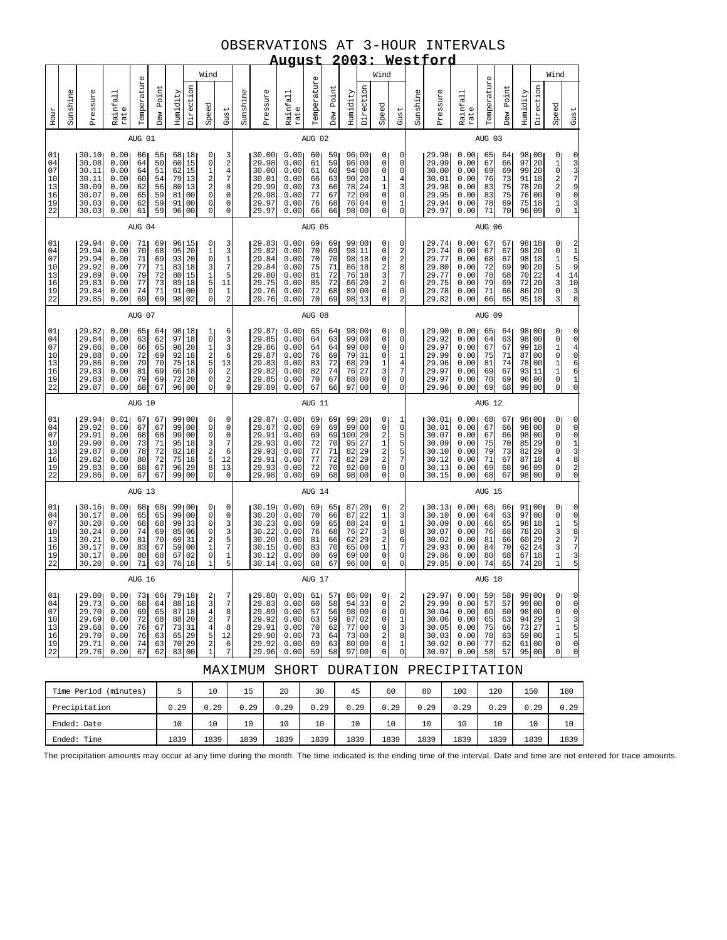## OBSERVATIONS AT 3-HOUR INTERVALS

|                                              |                                                                                                                                                                                                                                                                                                                                                                                                                                                          | 2003: Westford<br><u>August</u><br>Wind                              |                                                              |                                              |                                              |                                                  |                                                                         |                                                                                       |                                                                            |          |                                                                      |                                                               |                                              |                                              |                                                                                                                                           |                                                                                                               |                                                              |          |                                                                      |                                                              |                                              |                                              |                                                 |                                                          |                                                                                                                       |                                                                     |
|----------------------------------------------|----------------------------------------------------------------------------------------------------------------------------------------------------------------------------------------------------------------------------------------------------------------------------------------------------------------------------------------------------------------------------------------------------------------------------------------------------------|----------------------------------------------------------------------|--------------------------------------------------------------|----------------------------------------------|----------------------------------------------|--------------------------------------------------|-------------------------------------------------------------------------|---------------------------------------------------------------------------------------|----------------------------------------------------------------------------|----------|----------------------------------------------------------------------|---------------------------------------------------------------|----------------------------------------------|----------------------------------------------|-------------------------------------------------------------------------------------------------------------------------------------------|---------------------------------------------------------------------------------------------------------------|--------------------------------------------------------------|----------|----------------------------------------------------------------------|--------------------------------------------------------------|----------------------------------------------|----------------------------------------------|-------------------------------------------------|----------------------------------------------------------|-----------------------------------------------------------------------------------------------------------------------|---------------------------------------------------------------------|
|                                              |                                                                                                                                                                                                                                                                                                                                                                                                                                                          |                                                                      |                                                              |                                              |                                              |                                                  |                                                                         |                                                                                       |                                                                            |          |                                                                      |                                                               |                                              |                                              |                                                                                                                                           | Wind                                                                                                          |                                                              |          |                                                                      |                                                              |                                              |                                              |                                                 |                                                          | Wind                                                                                                                  |                                                                     |
| Hour                                         | Sunshine                                                                                                                                                                                                                                                                                                                                                                                                                                                 | Pressure                                                             | Rainfall<br>rate                                             | Temperature                                  | Dew Point                                    | Humidity                                         | Direction                                                               | Speed                                                                                 | Gust                                                                       | Sunshine | Pressure                                                             | Rainfall<br>rate                                              | Temperature                                  | Point<br>Dew                                 | Direction<br>Humidity                                                                                                                     | Speed                                                                                                         | Gust                                                         | Sunshine | Pressure                                                             | Rainfall<br>rate                                             | Temperature                                  | Point<br>Dew                                 | Humidity                                        | Direction                                                | Speed                                                                                                                 | Gust                                                                |
|                                              |                                                                                                                                                                                                                                                                                                                                                                                                                                                          |                                                                      |                                                              | AUG 01                                       |                                              |                                                  |                                                                         |                                                                                       |                                                                            |          |                                                                      |                                                               | AUG 02                                       |                                              |                                                                                                                                           |                                                                                                               |                                                              |          |                                                                      |                                                              | AUG 03                                       |                                              |                                                 |                                                          |                                                                                                                       |                                                                     |
| 01<br>04<br>07<br>10<br>13<br>16<br>19<br>22 | 0.00<br>30.10<br>68 18<br>0<br>66<br>56<br>30.08<br>0.00<br>50<br>60<br>15<br>$\mathsf 0$<br>64<br>30.11<br>0.00<br>51<br>62<br>15<br>$\begin{array}{c}\n1 \\ 2 \\ 2 \\ 0\n\end{array}$<br>64<br>79<br>30.11<br>0.00<br>60<br>54<br>13<br>80<br>30.09<br>0.00<br>62<br>56<br>13<br>30.07<br>0.00<br>59<br>81<br>0 <sub>0</sub><br>65<br>0<br>30.03<br>0.00<br>62<br>59<br>91<br>0 <sub>0</sub><br>59<br>96<br>0<br>30.03<br>0.00<br>61<br>0 <sub>0</sub> |                                                                      |                                                              |                                              |                                              |                                                  |                                                                         |                                                                                       | $\frac{3}{2}$<br>$\overline{4}$<br>7<br>8<br>0<br>0<br>$\mathsf{O}\xspace$ |          | 30.00<br>29.98<br>30.00<br>30.01<br>29.99<br>29.98<br>29.97<br>29.97 | 0.00<br>0.00<br>0.00<br>0.00<br>0.00<br>0.00<br>0.00<br>0.00  | 60<br>61<br>61<br>66<br>73<br>77<br>76<br>66 | 59<br>59<br>60<br>63<br>66<br>67<br>68<br>66 | 96100<br>96<br>0 <sub>0</sub><br>94<br>0 <sub>0</sub><br>90<br>20<br>78<br>24<br>72<br>0 <sub>0</sub><br>76<br>04<br>98<br>0 <sub>0</sub> | 0<br>$\mathsf 0$<br>$\mathbf 0$<br>$\mathbf 1$<br>$\mathbf 1$<br>$\mathsf 0$<br>$\mathsf 0$<br>$\mathsf 0$    | 0<br>0<br>0<br>$\overline{4}$<br>3<br>0<br>1<br>$\mathbf 0$  |          | 29.98<br>29.99<br>30.00<br>30.01<br>29.98<br>29.95<br>29.94<br>29.97 | 0.00<br>0.00<br>0.00<br>0.00<br>0.00<br>0.00<br>0.00<br>0.00 | 65<br>67<br>69<br>76<br>83<br>83<br>78<br>71 | 64<br>66<br>69<br>73<br>75<br>75<br>69<br>70 | 98 00<br>97<br>99<br>91<br>78<br>76<br>75<br>96 | 20<br>20<br>18<br>20<br>0 <sub>0</sub><br>18<br>09       | $\circ$<br>$\mathbf 1$<br>$\mathbf 0$<br>$\sqrt{2}$<br>$\overline{a}$<br>0<br>$\mathbf 1$<br>0                        | 0<br>3<br>3<br>7<br>9<br>0                                          |
|                                              |                                                                                                                                                                                                                                                                                                                                                                                                                                                          |                                                                      |                                                              | AUG 04                                       |                                              |                                                  |                                                                         |                                                                                       |                                                                            |          |                                                                      |                                                               | AUG 05                                       |                                              |                                                                                                                                           |                                                                                                               |                                                              |          |                                                                      |                                                              | AUG 06                                       |                                              |                                                 |                                                          |                                                                                                                       |                                                                     |
| 01<br>04<br>07<br>10<br>13<br>16<br>19<br>22 | 29.94<br>0.00<br>71<br>96 15<br>$\circ$<br>69<br>95<br>29.94<br>0.00<br>70<br>68<br>20<br>$\mathbf 1$<br>0<br>29.94<br>0.00<br>69<br>93<br>20<br>71<br>3<br>29.92<br>0.00<br>77<br>71<br>83<br>18<br>$\begin{array}{c} 1 \\ 5 \\ 0 \end{array}$<br>29.89<br>0.00<br>79<br>72<br>80<br>15<br>73<br>29.83<br>0.00<br>77<br>89<br>18<br>71<br>91<br>0 <sub>0</sub><br>29.84<br>0.00<br>74<br>0<br>69<br>69<br>98<br>02<br>29.85<br>0.00                     |                                                                      |                                                              |                                              |                                              |                                                  |                                                                         |                                                                                       | 3<br>3<br>$\frac{1}{7}$<br>5<br>11<br>$\frac{1}{2}$                        |          | 29.83<br>29.82<br>29.84<br>29.84<br>29.80<br>29.75<br>29.76<br>29.76 | 0.00<br>0.00<br>0.00<br>0.00<br>0.00<br>0.00<br>0.00<br>0.00  | 69<br>70<br>70<br>75<br>81<br>85<br>72<br>70 | 69<br>69<br>70<br>71<br>72<br>72<br>68<br>69 | 99100<br>98<br>11<br>98<br>18<br>86<br>18<br>76<br>18<br>20<br>66<br>0 <sub>0</sub><br>89<br>13<br>98                                     | 0<br>0<br>$\mathsf 0$<br>2<br>3<br>$\overline{a}$<br>$\mathbf 0$<br>$\mathsf 0$                               | 0<br>2<br>2<br>8<br>7<br>6<br>0<br>$\overline{a}$            |          | 29.74<br>29.74<br>29.77<br>29.80<br>29.77<br>29.75<br>29.78<br>29.82 | 0.00<br>0.00<br>0.00<br>0.00<br>0.00<br>0.00<br>0.00<br>0.00 | 67<br>67<br>68<br>72<br>78<br>79<br>71<br>66 | 67<br>67<br>67<br>69<br>68<br>69<br>66<br>65 | 98 18<br>98<br>98<br>90<br>70<br>72<br>86<br>95 | 20<br>18<br>20<br>22<br>20<br>20<br>18                   | $\overline{0}$<br>$\mathsf{O}\xspace$<br>$\mathbf{1}$<br>5<br>$\overline{4}$<br>$\mathbf{3}$<br>$\mathsf 0$<br>3      | $\mathbf{1}$<br>5<br>9<br>14<br>10<br>3<br>8                        |
|                                              |                                                                                                                                                                                                                                                                                                                                                                                                                                                          |                                                                      |                                                              | AUG 07                                       |                                              |                                                  |                                                                         |                                                                                       |                                                                            |          |                                                                      |                                                               | AUG 08                                       |                                              |                                                                                                                                           |                                                                                                               |                                                              |          |                                                                      |                                                              |                                              |                                              |                                                 |                                                          |                                                                                                                       |                                                                     |
| 01<br>04<br>07<br>10<br>13<br>16<br>19<br>22 |                                                                                                                                                                                                                                                                                                                                                                                                                                                          | 29.82<br>29.84<br>29.86<br>29.88<br>29.86<br>29.83<br>29.83<br>29.87 | 0.00<br>0.00<br>0.00<br>0.00<br>0.00<br>0.00<br>0.00<br>0.00 | 65<br>63<br>66<br>72<br>79<br>81<br>79<br>68 | 64<br>62<br>65<br>69<br>70<br>69<br>69<br>67 | 98<br>97<br>98<br>92<br>75<br>66<br>$72\,$<br>96 | 18<br>18<br>20<br>18<br>18<br>18<br>20<br>0 <sub>0</sub>                | $\mathbf{1}$<br>$\mathsf 0$<br>1<br>2<br>5<br>$\mathsf 0$<br>$\mathsf{O}\xspace$<br>0 | 6<br>3<br>3<br>6<br>13<br>$\frac{2}{2}$<br>$\mathbf 0$                     |          | 29.87<br>29.85<br>29.86<br>29.87<br>29.83<br>29.82<br>29.85<br>29.89 | 0.001<br>0.00<br>0.00<br>0.00<br>0.00<br>0.00<br>0.00<br>0.00 | 65<br>64<br>64<br>76<br>83<br>82<br>70<br>67 | 64<br>63<br>64<br>69<br>72<br>74<br>67<br>66 | 981<br>00<br>99<br>0 <sub>0</sub><br>99<br>0 <sub>0</sub><br>79<br>31<br>68<br>29<br>76<br>27<br>88<br>$_{00}$<br>97<br>0 <sub>0</sub>    | 0<br>$\mathsf 0$<br>0<br>0<br>1<br>3<br>$\mathsf{O}\xspace$<br>0                                              | 0<br>0<br>0<br>1<br>$\overline{4}$<br>7<br>$\mathsf{O}$<br>0 |          | 29.90<br>29.92<br>29.97<br>29.99<br>29.96<br>29.97<br>29.97<br>29.96 | 0.00<br>0.00<br>0.00<br>0.00<br>0.00<br>0.06<br>0.00<br>0.00 | 65<br>64<br>67<br>75<br>81<br>69<br>70<br>69 | 64<br>63<br>67<br>71<br>74<br>67<br>69<br>68 | 98<br>98<br>99<br>87<br>78<br>93<br>96<br>99    | 00<br>00<br>18<br>00<br>00<br>11<br>00<br>0 <sub>0</sub> | 0<br>$\mathsf 0$<br>1<br>$\mathsf 0$<br>1<br>$\mathbf 1$<br>$\mathbf 0$<br>0                                          | $\Omega$<br>4<br>0<br>6<br>6<br>$\mathbf 1$<br>$\mathbf 0$          |
|                                              |                                                                                                                                                                                                                                                                                                                                                                                                                                                          |                                                                      |                                                              | AUG 10                                       |                                              |                                                  |                                                                         |                                                                                       |                                                                            |          |                                                                      |                                                               | AUG 11                                       |                                              |                                                                                                                                           |                                                                                                               |                                                              |          |                                                                      |                                                              | AUG 12                                       |                                              |                                                 |                                                          |                                                                                                                       |                                                                     |
| 01<br>04<br>07<br>10<br>13<br>16<br>19<br>22 |                                                                                                                                                                                                                                                                                                                                                                                                                                                          | 29.94<br>29.92<br>29.91<br>29.90<br>29.87<br>29.82<br>29.83<br>29.86 | 0.01<br>0.00<br>0.00<br>0.00<br>0.00<br>0.00<br>0.00<br>0.00 | 67<br>67<br>68<br>73<br>78<br>80<br>68<br>67 | 67<br>67<br>68<br>71<br>72<br>72<br>67<br>67 | 99<br>99<br>95<br>82<br>75<br>96<br>99           | 99100<br>0 <sub>0</sub><br>00<br>18<br>18<br>18<br>29<br>0 <sub>0</sub> | 0<br>0<br>0<br>3<br>$\overline{\mathbf{c}}$<br>5<br>8<br>0                            | 0<br>0<br>$\mathbb O$<br>$\overline{7}$<br>6<br>12<br>13<br>$\mathbf 0$    |          | 29.87<br>29.87<br>29.91<br>29.93<br>29.93<br>29.91<br>29.93<br>29.98 | 0.001<br>0.00<br>0.00<br>0.00<br>0.00<br>0.00<br>0.00<br>0.00 | 69<br>69<br>69<br>72<br>77<br>77<br>72<br>69 | 69<br>69<br>69<br>70<br>71<br>72<br>70<br>68 | 99 20<br>99<br>00<br>100<br>20<br>95<br>27<br>82<br>29<br>82<br>29<br>92<br>0 <sub>0</sub><br>98<br>0 <sub>0</sub>                        | 0<br>$\mathsf 0$<br>$\boldsymbol{2}$<br>$\,1\,$<br>$\sqrt{2}$<br>$\overline{a}$<br>$\mathbf 0$<br>$\mathsf 0$ | 1<br>0<br>5<br>5<br>5<br>7<br>$\mathbf 0$<br>0               |          | 30.01<br>30.01<br>30.07<br>30.09<br>30.10<br>30.12<br>30.13<br>30.15 | 0.00<br>0.00<br>0.00<br>0.00<br>0.00<br>0.00<br>0.00<br>0.00 | 68<br>67<br>67<br>75<br>79<br>71<br>69<br>68 | 67<br>66<br>66<br>70<br>73<br>67<br>68<br>67 | 98 00<br>98<br>98<br>85<br>82<br>87<br>96<br>98 | 0 <sub>0</sub><br>00<br>29<br>29<br>18<br>09<br>00       | $\overline{0}$<br>0<br>0<br>$\mathsf 0$<br>$\mathbf 0$<br>$\overline{4}$<br>$\mathbf 0$<br>0                          | 0<br>0<br>$\overline{1}$<br>3<br>8<br>$\overline{a}$<br>0           |
|                                              |                                                                                                                                                                                                                                                                                                                                                                                                                                                          |                                                                      |                                                              | AUG 13                                       |                                              |                                                  |                                                                         |                                                                                       |                                                                            |          |                                                                      |                                                               | AUG 14                                       |                                              |                                                                                                                                           |                                                                                                               |                                                              |          |                                                                      |                                                              | AUG 15                                       |                                              |                                                 |                                                          |                                                                                                                       |                                                                     |
| 01<br>04<br>07<br>10<br>13<br>16<br>19<br>22 |                                                                                                                                                                                                                                                                                                                                                                                                                                                          | 30.16<br>30.17<br>30.20<br>30.24<br>30.21<br>30.17<br>30.17<br>30.20 | 0.00<br>0.00<br>0.00<br>0.00<br>0.00<br>0.00<br>0.00<br>0.00 | 68<br>65<br>68<br>74<br>81<br>83<br>80<br>71 | 68<br>65<br>68<br>69<br>70<br>67<br>68<br>63 | 99<br>99<br>85<br>69<br>59<br>67<br>76           | 99100<br>00<br>33<br>06<br>31<br>0 <sub>0</sub><br>02<br>18             | 0<br>0<br>0<br>0<br>$\begin{array}{c} 2 \\ 1 \\ 0 \end{array}$<br>$\mathbf{1}$        | 0<br>$\mathsf 0$<br>3<br>3571<br>5                                         |          | 30.19<br>30.20<br>30.23<br>30.22<br>30.20<br>30.15<br>30.12<br>30.14 | 0.00<br>0.00<br>0.00<br>0.00<br>0.00<br>0.00<br>0.00<br>0.00  | 69<br>70<br>69<br>76<br>81<br>83<br>80<br>68 | 65<br>66<br>65<br>68<br>66<br>70<br>69<br>67 | 87 20<br>87<br>22<br>88<br>24<br>76<br>27<br>29<br>62<br>65<br>0 <sub>0</sub><br>00<br>69<br>0 <sub>0</sub><br>96                         | 0<br>1<br>$\mathsf 0$<br>3<br>$\begin{smallmatrix}2\1\end{smallmatrix}$<br>$\mathsf{O}\xspace$<br>$\mathsf 0$ | 2<br>3<br>1<br>8<br>б<br>7<br>$\mathsf{O}$<br>$\mathsf{O}$   |          | 30.13<br>30.10<br>30.09<br>30.07<br>30.02<br>29.93<br>29.86<br>29.85 | 0.00<br>0.00<br>0.00<br>0.00<br>0.00<br>0.00<br>0.00<br>0.00 | 68<br>64<br>66<br>76<br>81<br>84<br>80<br>74 | 66<br>63<br>65<br>68<br>66<br>70<br>68<br>65 | 91 00<br>97<br>98<br>78<br>60<br>62<br>67<br>74 | 0 <sub>0</sub><br>18<br>20<br>29<br>24<br>18<br>20       | $\circ$<br>$\mathsf 0$<br>$\mathbf 1$<br>3<br>$\overline{a}$<br>$\begin{array}{c} 3 \\ 1 \end{array}$<br>$\mathbf{1}$ | 0<br>5<br>$\frac{8}{7}$<br>7<br>3<br>5                              |
|                                              |                                                                                                                                                                                                                                                                                                                                                                                                                                                          |                                                                      |                                                              | AUG 16                                       |                                              |                                                  |                                                                         |                                                                                       |                                                                            |          |                                                                      |                                                               | AUG 17                                       |                                              |                                                                                                                                           |                                                                                                               |                                                              |          |                                                                      |                                                              | AUG 18                                       |                                              |                                                 |                                                          |                                                                                                                       |                                                                     |
| 01<br>04<br>07<br>10<br>13<br>16<br>19<br>22 |                                                                                                                                                                                                                                                                                                                                                                                                                                                          | 29.80<br>29.73<br>29.70<br>29.69<br>29.68<br>29.70<br>29.71<br>29.76 | 0.00<br>0.00<br>0.00<br>0.00<br>0.00<br>0.00<br>0.00<br>0.00 | 73<br>68<br>69<br>72<br>76<br>76<br>74<br>67 | 66<br>64<br>65<br>68<br>67<br>63<br>63<br>62 | 79<br>88<br>87<br>88<br>73<br>65<br>70<br>83     | 18<br>18<br>18<br>20<br>31<br>29<br>29<br>0 <sub>0</sub>                | $\begin{array}{c} 2 \\ 3 \\ 4 \end{array}$<br>2<br>4<br>$\frac{5}{2}$<br>1            | 7<br>7<br>8<br>7<br>8<br>12<br>6<br>7                                      |          | 29.80<br>29.83<br>29.89<br>29.92<br>29.91<br>29.90<br>29.92<br>29.96 | 0.00<br>0.00<br>0.00<br>0.00<br>0.00<br>0.00<br>0.00<br>0.00  | 61<br>60<br>57<br>63<br>70<br>73<br>69<br>59 | 57<br>58<br>56<br>59<br>62<br>64<br>63<br>58 | 00<br>86<br>94<br>33<br>98<br>0 <sub>0</sub><br>87<br>02<br>77<br>00<br>73<br>0 <sub>0</sub><br>80<br>$00\,$<br>97<br>0 <sub>0</sub>      | 0<br>$\mathbf 0$<br>$\mathsf 0$<br>$\mathsf 0$<br>0<br>$\sqrt{2}$<br>$\mathsf{O}\xspace$<br>0                 | 2<br>$\overline{a}$<br>0<br>1<br>3<br>8<br>1<br>0            |          | 29.97<br>29.99<br>30.04<br>30.06<br>30.05<br>30.03<br>30.02<br>30.07 | 0.00<br>0.00<br>0.00<br>0.00<br>0.00<br>0.00<br>0.00<br>0.00 | 59<br>57<br>60<br>65<br>75<br>78<br>77<br>58 | 58<br>57<br>60<br>63<br>66<br>63<br>62<br>57 | 99<br>99<br>98<br>94<br>73<br>59<br>61<br>95    | 00<br>00<br>00<br>29<br>27<br>0 <sub>0</sub><br>00<br>00 | $\Omega$<br>$\mathbf 0$<br>$\mathsf 0$<br>$\mathbf{1}$<br>1<br>$\mathbf{1}$<br>$\mathsf{O}\xspace$<br>$\overline{0}$  | $\mathbf 0$<br>0<br>5<br>5<br>$\mathsf{O}\xspace$<br>$\overline{0}$ |

|  |  |  | MAXIMUM SHORT DURATION PRECIPITATION |
|--|--|--|--------------------------------------|
|--|--|--|--------------------------------------|

| Time Period (minutes) |      | 10   | 15   | 20   | 30   | 45   | 60   | 80   | 100  | 120  | 150  | 180  |
|-----------------------|------|------|------|------|------|------|------|------|------|------|------|------|
| Precipitation         | 0.29 | 0.29 | 0.29 | 0.29 | 0.29 | 0.29 | 0.29 | 0.29 | 0.29 | 0.29 | 0.29 | 0.29 |
| Ended: Date           | 10   | 10   | 10   | 10   | 10   | 10   | 10   | 10   | 10   | 10   | 10   | 10   |
| Ended: Time           | 1839 | 1839 | 1839 | 1839 | 1839 | 1839 | 1839 | 1839 | 1839 | 1839 | 1839 | 1839 |

The precipitation amounts may occur at any time during the month. The time indicated is the ending time of the interval. Date and time are not entered for trace amounts.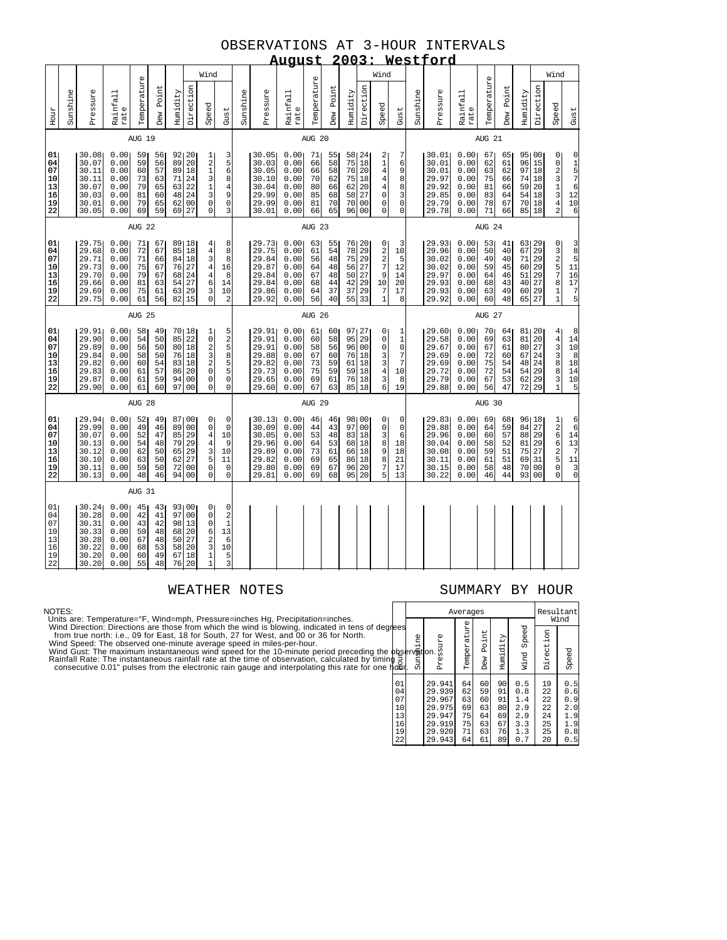### OBSERVATIONS AT 3-HOUR INTERVALS **August 2003: Westford**

|                                              |          |                                                                      |                                                              |                                              |                                              |                                        |                                                                                                        |                                                                                                                              |                                                          |                                                                      | <u>August</u>                                                |                                              |                                              | <u>zuu</u>                                      |                                                    |                                                                                                                   |                                                               |          | westroro                                                             |                                                               |                                              |                                              |                                                          |                                              |                                                                                           |                                                                                                                           |
|----------------------------------------------|----------|----------------------------------------------------------------------|--------------------------------------------------------------|----------------------------------------------|----------------------------------------------|----------------------------------------|--------------------------------------------------------------------------------------------------------|------------------------------------------------------------------------------------------------------------------------------|----------------------------------------------------------|----------------------------------------------------------------------|--------------------------------------------------------------|----------------------------------------------|----------------------------------------------|-------------------------------------------------|----------------------------------------------------|-------------------------------------------------------------------------------------------------------------------|---------------------------------------------------------------|----------|----------------------------------------------------------------------|---------------------------------------------------------------|----------------------------------------------|----------------------------------------------|----------------------------------------------------------|----------------------------------------------|-------------------------------------------------------------------------------------------|---------------------------------------------------------------------------------------------------------------------------|
|                                              |          | Wind                                                                 |                                                              |                                              |                                              |                                        |                                                                                                        |                                                                                                                              |                                                          |                                                                      |                                                              |                                              |                                              |                                                 |                                                    | Wind                                                                                                              |                                                               |          |                                                                      |                                                               |                                              |                                              |                                                          |                                              | Wind                                                                                      |                                                                                                                           |
| Hour                                         | Sunshine | Pressure                                                             | Rainfall<br>rate                                             | Temperature                                  | Dew Point                                    | Humidity                               | Direction                                                                                              | Speed<br>Gust                                                                                                                | Sunshine                                                 | Pressure                                                             | Rainfall<br>rate                                             | Temperature                                  | Dew Point                                    | Humidity                                        | Direction                                          | Speed                                                                                                             | Gust                                                          | Sunshine | Pressure                                                             | Rainfall<br>rate                                              | Temperature                                  | Dew Point                                    | Humidity                                                 | Direction                                    | Speed                                                                                     | Gust                                                                                                                      |
|                                              |          |                                                                      |                                                              | AUG 19                                       |                                              |                                        |                                                                                                        |                                                                                                                              |                                                          |                                                                      |                                                              | AUG 20                                       |                                              |                                                 |                                                    |                                                                                                                   |                                                               |          |                                                                      |                                                               | AUG 21                                       |                                              |                                                          |                                              |                                                                                           |                                                                                                                           |
| 01<br>04<br>07<br>10<br>13<br>16<br>19<br>22 |          | 30.08<br>30.07<br>30.11<br>30.11<br>30.07<br>30.03<br>30.01<br>30.05 | 0.00<br>0.00<br>0.00<br>0.00<br>0.00<br>0.00<br>0.00<br>0.00 | 59<br>59<br>60<br>73<br>79<br>81<br>79<br>69 | 56<br>56<br>57<br>63<br>65<br>60<br>65<br>59 | 89<br>89<br>71<br>63<br>48<br>62<br>69 | 92120<br>20<br>$18\,$<br>24<br>22<br>24<br>00<br>27                                                    | $\mathbf{1}$<br>$\begin{smallmatrix}2\\1\end{smallmatrix}$<br>$\frac{3}{1}$<br>3<br>$\overline{0}$<br>$\overline{0}$         | $\frac{3}{5}$<br>8<br>$\overline{4}$<br>9<br>0<br>3      | 30.05<br>30.03<br>30.05<br>30.10<br>30.04<br>29.99<br>29.99<br>30.01 | 0.00<br>0.00<br>0.00<br>0.00<br>0.00<br>0.00<br>0.00<br>0.00 | 71<br>66<br>66<br>70<br>80<br>85<br>81<br>66 | 55<br>58<br>58<br>62<br>66<br>68<br>70<br>65 | 58 24<br>75<br>76<br>75<br>62<br>58<br>70<br>96 | 18<br>20<br>18<br>20<br>27<br>00<br>0 <sup>0</sup> | $\begin{array}{c} 2 \\ 1 \\ 4 \end{array}$<br>$\overline{\mathbf{4}}$<br>$\bf 4$<br>$\mathsf{O}\xspace$<br>0<br>0 | 7<br>6<br>9<br>8<br>8<br>3<br>$\mathsf 0$<br>$\mathbf 0$      |          | 30.01<br>30.01<br>30.01<br>29.97<br>29.92<br>29.85<br>29.79<br>29.78 | 0.001<br>0.00<br>0.00<br>0.00<br>0.00<br>0.00<br>0.00<br>0.00 | 67<br>62<br>63<br>75<br>81<br>83<br>78<br>71 | 65<br>61<br>62<br>66<br>66<br>64<br>67<br>66 | 95100<br>96<br>97<br>74 18<br>59<br>54 18<br>70 18<br>85 | 15<br>18<br>20<br>18                         | 0<br>0 2 3 1 3 4 2                                                                        | $\begin{array}{c} 0 \\ 1 \\ 5 \\ 7 \\ 6 \\ 12 \end{array}$<br>$\begin{array}{c} 10 \\ 6 \end{array}$                      |
|                                              |          |                                                                      |                                                              | AUG 22                                       |                                              |                                        |                                                                                                        |                                                                                                                              |                                                          |                                                                      |                                                              | AUG 23                                       |                                              |                                                 |                                                    |                                                                                                                   |                                                               |          |                                                                      |                                                               | AUG 24                                       |                                              |                                                          |                                              |                                                                                           |                                                                                                                           |
| 01<br>04<br>07<br>10<br>13<br>16<br>19<br>22 |          | 29.75<br>29.68<br>29.71<br>29.73<br>29.70<br>29.66<br>29.69<br>29.75 | 0.00<br>0.00<br>0.00<br>0.00<br>0.00<br>0.00<br>0.00<br>0.00 | 71<br>72<br>71<br>75<br>79<br>81<br>75<br>61 | 67<br>67<br>66<br>67<br>67<br>63<br>61<br>56 | 85<br>84<br>76<br>68<br>54<br>63<br>82 | 89 18<br>18<br>18<br>27<br>24<br>27<br>29<br>15                                                        | 4<br>$\overline{4}$<br>3<br>4<br>16<br>4<br>8<br>6<br>14<br>3<br>10<br>0                                                     | 8<br>8<br>8<br>$\overline{a}$                            | 29.73<br>29.75<br>29.84<br>29.87<br>29.84<br>29.84<br>29.86<br>29.92 | 0.00<br>0.00<br>0.00<br>0.00<br>0.00<br>0.00<br>0.00<br>0.00 | 63<br>61<br>56<br>64<br>67<br>68<br>64<br>56 | 55<br>54<br>48<br>48<br>48<br>44<br>37<br>40 | 76 20<br>78<br>75<br>56<br>50<br>42<br>37<br>55 | 29<br>29<br>27<br>27<br>29<br>29<br>33             | 0<br>$\begin{array}{c} 2 \\ 2 \\ 7 \end{array}$<br>9<br>10<br>$\boldsymbol{7}$<br>$\mathbf{1}$                    | 3<br>10<br>5<br>12<br>14<br>20<br>17<br>8                     |          | 29.93<br>29.96<br>30.02<br>30.02<br>29.97<br>29.93<br>29.93<br>29.92 | 0.001<br>0.00<br>0.00<br>0.00<br>0.00<br>0.00<br>0.00<br>0.00 | 53<br>50<br>49<br>59<br>64<br>68<br>63<br>60 | 41<br>40<br>40<br>45<br>46<br>43<br>49<br>48 | 63 29<br>67<br>71<br>60<br>51<br>40<br>60 29<br>65       | 29<br>29<br>29<br>29<br>27<br>27             | 032578<br>$\frac{1}{1}$                                                                   | $\begin{array}{c}\n 3 \\  8 \\  5 \\  11\n \end{array}$<br>$\overline{16}$<br>17<br>$\begin{array}{c} 7 \\ 5 \end{array}$ |
|                                              |          |                                                                      |                                                              | AUG 25                                       |                                              |                                        |                                                                                                        |                                                                                                                              |                                                          |                                                                      |                                                              | AUG 26                                       |                                              |                                                 |                                                    |                                                                                                                   |                                                               |          |                                                                      |                                                               | AUG 27                                       |                                              |                                                          |                                              |                                                                                           |                                                                                                                           |
| 01<br>04<br>07<br>10<br>13<br>16<br>19<br>22 |          | 29.91<br>29.90<br>29.89<br>29.84<br>29.82<br>29.83<br>29.87<br>29.90 | 0.00<br>0.00<br>0.00<br>0.00<br>0.00<br>0.00<br>0.00<br>0.00 | 58<br>54<br>56<br>58<br>60<br>61<br>61<br>61 | 49<br>50<br>50<br>50<br>54<br>57<br>59<br>60 | 85<br>80<br>76<br>83<br>86<br>94<br>97 | 70   18<br>22<br>18<br>18<br>18<br>20<br>00<br>0 <sub>0</sub>                                          | 1 <br>$\mathsf{O}$<br>$\frac{2}{3}$<br>$\overline{a}$<br>0<br>0<br>$\Omega$                                                  | $\frac{5}{2}$<br>5<br>8<br>5<br>5<br>$\mathbf 0$<br>0    | 29.91<br>29.91<br>29.91<br>29.88<br>29.82<br>29.73<br>29.65<br>29.60 | 0.00<br>0.00<br>0.00<br>0.00<br>0.00<br>0.00<br>0.00<br>0.00 | 61<br>60<br>58<br>67<br>73<br>75<br>69<br>67 | 60<br>58<br>56<br>60<br>59<br>59<br>61<br>63 | 97 27<br>95<br>96<br>76<br>61<br>59<br>76<br>85 | 29<br>00<br>18<br>18<br>18<br>18<br>18             | 0<br>$\mathsf{O}\xspace$<br>$\mathsf{O}\xspace$<br>33436                                                          | 1<br>$\mathbf 1$<br>$\mathsf 0$<br>7<br>7<br>10<br>8<br>19    |          | 29.60<br>29.58<br>29.67<br>29.69<br>29.69<br>29.72<br>29.79<br>29.88 | 0.00<br>0.00<br>0.00<br>0.00<br>0.00<br>0.00<br>0.00<br>0.00  | 70<br>69<br>67<br>72<br>75<br>72<br>67<br>56 | 64<br>63<br>61<br>60<br>54<br>54<br>53<br>47 | 81 20<br>81<br>80<br>67<br>48<br>54<br>62<br>72          | 20<br>27<br>24<br>24<br>29<br>29<br>29       | $\begin{array}{c}\n4 \\ 4 \\ 3 \\ 3 \\ 8\n\end{array}$<br>$\frac{8}{3}$<br>$\overline{1}$ | 8<br>14<br>$_{\rm 10}^{\rm 10}$<br>18<br>14<br>$\begin{array}{c} 10 \\ 5 \end{array}$                                     |
|                                              |          |                                                                      |                                                              | AUG 28                                       |                                              |                                        |                                                                                                        |                                                                                                                              |                                                          |                                                                      |                                                              | AUG 29                                       |                                              |                                                 |                                                    |                                                                                                                   |                                                               |          |                                                                      |                                                               | AUG 30                                       |                                              |                                                          |                                              |                                                                                           |                                                                                                                           |
| 01<br>04<br>07<br>10<br>13<br>16<br>19<br>22 |          | 29.94<br>29.99<br>30.07<br>30.13<br>30.12<br>30.10<br>30.11<br>30.13 | 0.00<br>0.00<br>0.00<br>0.00<br>0.00<br>0.00<br>0.00<br>0.00 | 52<br>49<br>52<br>54<br>62<br>63<br>59<br>48 | 49<br>46<br>47<br>48<br>50<br>50<br>50<br>46 | 89<br>85<br>79<br>65<br>62<br>72<br>94 | 87100<br>0 <sub>0</sub><br>29<br>29<br>$\begin{array}{c} 29 \\ 27 \end{array}$<br>00<br>0 <sub>0</sub> | 01<br>0<br>4<br>10<br>$\begin{array}{c} 4 \\ 3 \\ 5 \end{array}$<br>9<br>10<br>11<br>0<br>0                                  | $\mathbf 0$<br>$\mathbf 0$<br>$\mathbf 0$<br>$\mathbf 0$ | 30.13<br>30.09<br>30.05<br>29.96<br>29.89<br>29.82<br>29.80<br>29.81 | 0.00<br>0.00<br>0.00<br>0.00<br>0.00<br>0.00<br>0.00<br>0.00 | 46<br>44<br>53<br>64<br>73<br>69<br>69<br>69 | 46<br>43<br>48<br>53<br>61<br>65<br>67<br>68 | 98 00<br>97<br>83<br>68<br>66<br>86<br>96<br>95 | 00<br>18<br>18<br>18<br>18<br>20<br>20             | 0<br>0<br>3<br>8<br>9<br>8<br>$\begin{array}{c} 7 \\ 5 \end{array}$                                               | $\mathbf 0$<br>$\mathsf 0$<br>6<br>18<br>18<br>21<br>17<br>13 |          | 29.83<br>29.88<br>29.96<br>30.04<br>30.08<br>30.11<br>30.15<br>30.22 | 0.00<br>0.00<br>0.00<br>0.00<br>0.00<br>0.00<br>0.00<br>0.00  | 69<br>64<br>60<br>58<br>59<br>61<br>58<br>46 | 68<br>59<br>57<br>52<br>51<br>51<br>48<br>44 | 96 18<br>84<br>88 29<br>81<br>75<br>69<br>70<br>93       | 27<br>29<br>27<br>31<br>0 <sub>0</sub><br>00 | 1266250<br>$\overline{0}$                                                                 | 6<br>6<br>$\begin{array}{c} 14 \\ 13 \\ 7 \end{array}$<br>$\begin{array}{c} 11 \\ 3 \\ 0 \end{array}$                     |
|                                              |          |                                                                      |                                                              | AUG 31                                       |                                              |                                        |                                                                                                        |                                                                                                                              |                                                          |                                                                      |                                                              |                                              |                                              |                                                 |                                                    |                                                                                                                   |                                                               |          |                                                                      |                                                               |                                              |                                              |                                                          |                                              |                                                                                           |                                                                                                                           |
| 01<br>04<br>07<br>10<br>13<br>16<br>19<br>22 |          | 30.24<br>30.28<br>30.31<br>30.33<br>30.28<br>30.22<br>30.20<br>30.20 | 0.00<br>0.00<br>0.00<br>0.00<br>0.00<br>0.00<br>0.00<br>0.00 | 45<br>42<br>43<br>59<br>67<br>68<br>60<br>55 | 43<br>41<br>42<br>48<br>48<br>53<br>49<br>48 | 97<br>98<br>68<br>50<br>58<br>67<br>76 | 93 00<br>0 <sub>0</sub><br>13<br>20<br>27<br>20<br>18<br>20                                            | $\overline{0}$<br>0<br>$\mathbf{1}$<br>0<br>6<br>13<br>$\begin{array}{c} 2 \\ 3 \\ 1 \end{array}$<br>6<br>10<br>$\mathbf{1}$ | 0<br>$\boldsymbol{2}$<br>5<br>ζ                          |                                                                      |                                                              |                                              |                                              |                                                 |                                                    |                                                                                                                   |                                                               |          |                                                                      |                                                               |                                              |                                              |                                                          |                                              |                                                                                           |                                                                                                                           |

## WEATHER NOTES SUMMARY BY HOUR

NOTES:<br>Units are: Temperature=°F, Wind=mph, Pressure=inches Hg, Precipitation=inches.<br>Units are: Temperature=°F, Wind=mph, Pressure=inches Hg, Precipitation=inches.<br>from true north: i.e., 09 for East, 18 for South, 27 for

|                                              |                                                                                                                                                                                                                                                                                                                                                                                                                                                                                                                                    |                                                                              | Averages                                     |                                              |                                              |                                                      |                                                                             | Resultant<br>Wind                                                           |
|----------------------------------------------|------------------------------------------------------------------------------------------------------------------------------------------------------------------------------------------------------------------------------------------------------------------------------------------------------------------------------------------------------------------------------------------------------------------------------------------------------------------------------------------------------------------------------------|------------------------------------------------------------------------------|----------------------------------------------|----------------------------------------------|----------------------------------------------|------------------------------------------------------|-----------------------------------------------------------------------------|-----------------------------------------------------------------------------|
| ees<br>p<br>9                                | $\begin{array}{c}\n\begin{array}{c}\n\text{if } \\ \text{if } \\ \text{if } \\ \text{if } \\ \text{if } \\ \text{if } \\ \text{if } \\ \text{if } \\ \text{if } \\ \text{if } \\ \text{if } \\ \text{if } \\ \text{if } \\ \text{if } \\ \text{if } \\ \text{if } \\ \text{if } \\ \text{if } \\ \text{if } \\ \text{if } \\ \text{if } \\ \text{if } \\ \text{if } \\ \text{if } \\ \text{if } \\ \text{if } \\ \text{if } \\ \text{if } \\ \text{if } \\ \text{if } \\ \text{if } \\ \text{if } \\ \text{if } \\ \text{if } \\ $ | Pressure<br>on.                                                              | Temperature                                  | Point<br>Dew                                 | Humidity                                     | Speed<br>Wind                                        | Direction                                                                   | Speed                                                                       |
| 01<br>04<br>07<br>10<br>13<br>16<br>19<br>22 |                                                                                                                                                                                                                                                                                                                                                                                                                                                                                                                                    | 29.941<br>29.939<br>29.967<br>29.975<br>29.947<br>29.919<br>29.920<br>29.943 | 64<br>62<br>63<br>69<br>75<br>75<br>71<br>64 | 60<br>59<br>60<br>63<br>64<br>63<br>63<br>61 | 90<br>91<br>91<br>80<br>69<br>67<br>76<br>89 | 0.5<br>0.8<br>1.4<br>2.9<br>2.9<br>3.3<br>1.3<br>0.7 | 19<br>22<br>22<br>$\begin{array}{c} 22 \\ 24 \end{array}$<br>25<br>25<br>20 | . 5<br>0<br>. 6<br>0<br>. 9<br>0<br>2.0<br>1.9<br>1.9<br>.8<br>0<br>.5<br>0 |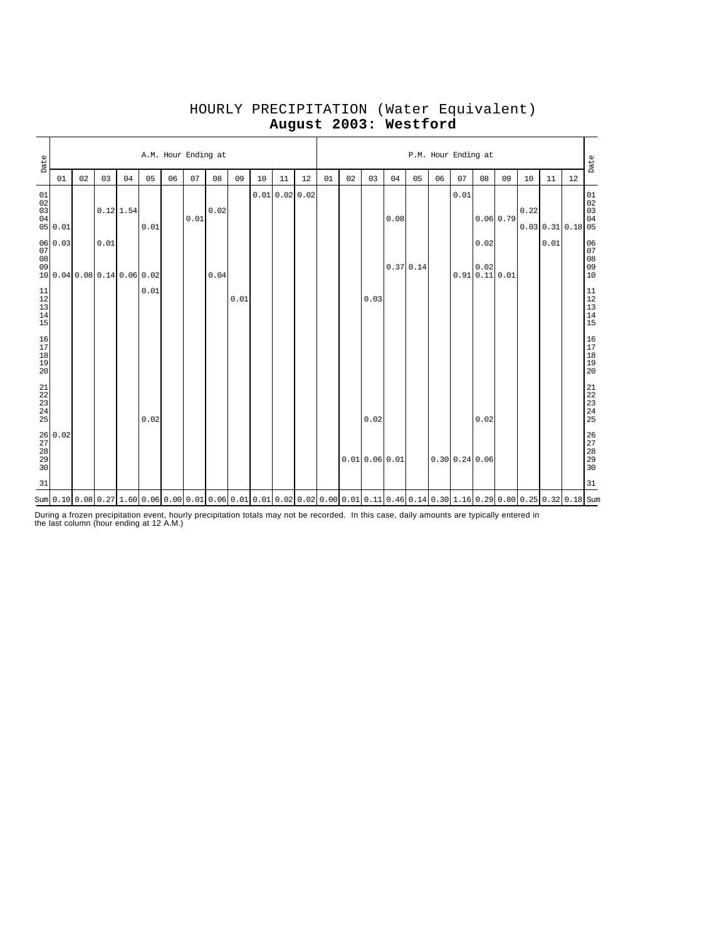| Date                                                      |                                                                 |    |      |             |      |    | A.M. Hour Ending at |      |      |    |    |                                                                                                                                                          |    |    |      |                  |          |    | P.M. Hour Ending at |                              |          |      |                     |    | Date                                                      |
|-----------------------------------------------------------|-----------------------------------------------------------------|----|------|-------------|------|----|---------------------|------|------|----|----|----------------------------------------------------------------------------------------------------------------------------------------------------------|----|----|------|------------------|----------|----|---------------------|------------------------------|----------|------|---------------------|----|-----------------------------------------------------------|
|                                                           | 01                                                              | 02 | 03   | 04          | 05   | 06 | 07                  | 08   | 09   | 10 | 11 | 12                                                                                                                                                       | 01 | 02 | 03   | 04               | 05       | 06 | 07                  | 08                           | 09       | 10   | 11                  | 12 |                                                           |
| 01<br>$0\,2$<br>03<br>04                                  | 05 0.01                                                         |    |      | $0.12$ 1.54 | 0.01 |    | 0.01                | 0.02 |      |    |    | 0.010.020.02                                                                                                                                             |    |    |      | 0.08             |          |    | 0.01                |                              | 0.060.79 | 0.22 | $0.03$ 0.31 0.18 05 |    | 01<br>02<br>03<br>04                                      |
| 07<br>08<br>09                                            | 06 0.03<br>10 0.04 0.08 0.14 0.06 0.02                          |    | 0.01 |             |      |    |                     | 0.04 |      |    |    |                                                                                                                                                          |    |    |      |                  | 0.370.14 |    |                     | 0.02<br>0.02<br>0.910.110.01 |          |      | 0.01                |    | 06<br>$\begin{array}{c} 07 \\ 08 \end{array}$<br>09<br>10 |
| $\begin{array}{c} 11 \\ 12 \\ 13 \\ 14 \\ 15 \end{array}$ |                                                                 |    |      |             | 0.01 |    |                     |      | 0.01 |    |    |                                                                                                                                                          |    |    | 0.03 |                  |          |    |                     |                              |          |      |                     |    | 11<br>$\begin{array}{c} 12 \\ 13 \end{array}$<br>14<br>15 |
| $\begin{array}{c} 16 \\ 17 \\ 18 \\ 19 \end{array}$<br>20 |                                                                 |    |      |             |      |    |                     |      |      |    |    |                                                                                                                                                          |    |    |      |                  |          |    |                     |                              |          |      |                     |    | 16<br>$\frac{17}{18}$<br>20                               |
| $\begin{array}{c} 21 \\ 22 \\ 23 \\ 24 \\ 25 \end{array}$ |                                                                 |    |      |             | 0.02 |    |                     |      |      |    |    |                                                                                                                                                          |    |    | 0.02 |                  |          |    |                     | 0.02                         |          |      |                     |    | 21<br>22<br>23<br>24<br>25                                |
|                                                           | $\begin{array}{l} 26 \\ 27 \\ 28 \\ 28 \\ 29 \\ 30 \end{array}$ |    |      |             |      |    |                     |      |      |    |    |                                                                                                                                                          |    |    |      | $0.01$ 0.06 0.01 |          |    |                     | 0.30 0.24 0.06               |          |      |                     |    | 26<br>27<br>28<br>29<br>30                                |
| 31                                                        |                                                                 |    |      |             |      |    |                     |      |      |    |    |                                                                                                                                                          |    |    |      |                  |          |    |                     |                              |          |      |                     |    | 31                                                        |
|                                                           |                                                                 |    |      |             |      |    |                     |      |      |    |    | Sum  0.10  0.08  0.27  1.60  0.06  0.00  0.01  0.06  0.01  0.01  0.02  0.02  0.00  0.01  0.11  0.46  0.14  0.30  1.16  0.29  0.80  0.25  0.32  0.18  Sum |    |    |      |                  |          |    |                     |                              |          |      |                     |    |                                                           |

# HOURLY PRECIPITATION (Water Equivalent) **August 2003: Westford**

During a frozen precipitation event, hourly precipitation totals may not be recorded. In this case, daily amounts are typically entered in the last column (hour ending at 12 A.M.)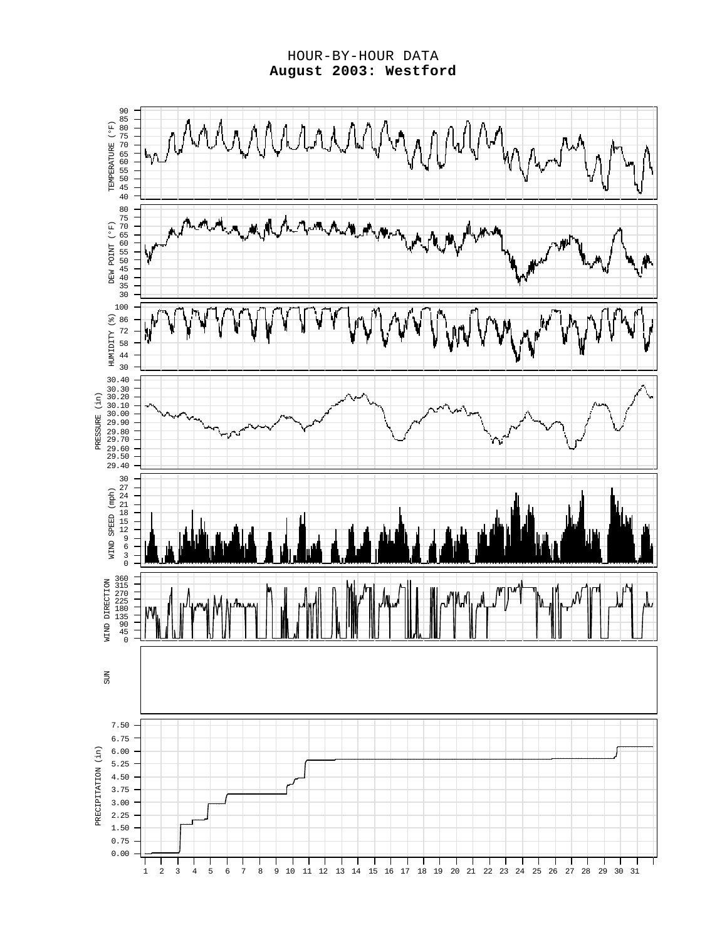HOUR-BY-HOUR DATA **August 2003: Westford**